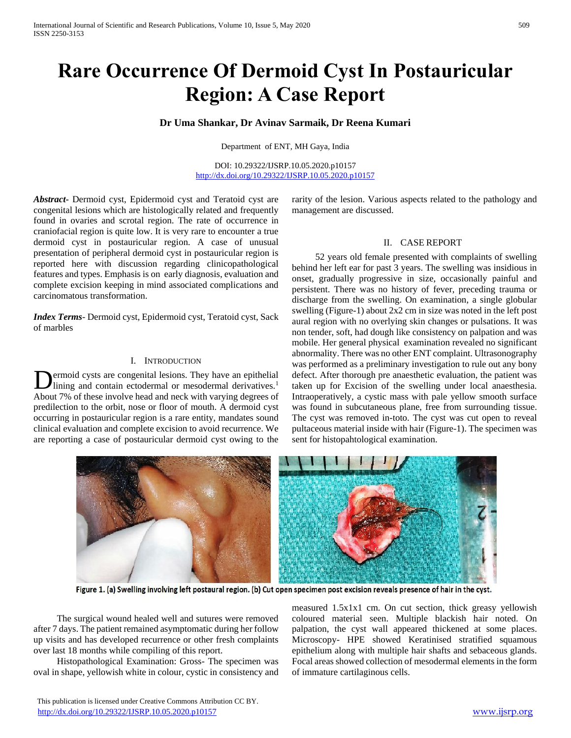# **Rare Occurrence Of Dermoid Cyst In Postauricular Region: A Case Report**

## **Dr Uma Shankar, Dr Avinav Sarmaik, Dr Reena Kumari**

Department of ENT, MH Gaya, India

DOI: 10.29322/IJSRP.10.05.2020.p10157 <http://dx.doi.org/10.29322/IJSRP.10.05.2020.p10157>

*Abstract***-** Dermoid cyst, Epidermoid cyst and Teratoid cyst are congenital lesions which are histologically related and frequently found in ovaries and scrotal region. The rate of occurrence in craniofacial region is quite low. It is very rare to encounter a true dermoid cyst in postauricular region. A case of unusual presentation of peripheral dermoid cyst in postauricular region is reported here with discussion regarding clinicopathological features and types. Emphasis is on early diagnosis, evaluation and complete excision keeping in mind associated complications and carcinomatous transformation.

*Index Terms*- Dermoid cyst, Epidermoid cyst, Teratoid cyst, Sack of marbles

#### I. INTRODUCTION

ermoid cysts are congenital lesions. They have an epithelial lining and contain ectodermal or mesodermal derivatives.<sup>1</sup> About 7% of these involve head and neck with varying degrees of predilection to the orbit, nose or floor of mouth. A dermoid cyst occurring in postauricular region is a rare entity, mandates sound clinical evaluation and complete excision to avoid recurrence. We are reporting a case of postauricular dermoid cyst owing to the D

rarity of the lesion. Various aspects related to the pathology and management are discussed.

#### II. CASE REPORT

 52 years old female presented with complaints of swelling behind her left ear for past 3 years. The swelling was insidious in onset, gradually progressive in size, occasionally painful and persistent. There was no history of fever, preceding trauma or discharge from the swelling. On examination, a single globular swelling (Figure-1) about 2x2 cm in size was noted in the left post aural region with no overlying skin changes or pulsations. It was non tender, soft, had dough like consistency on palpation and was mobile. Her general physical examination revealed no significant abnormality. There was no other ENT complaint. Ultrasonography was performed as a preliminary investigation to rule out any bony defect. After thorough pre anaesthetic evaluation, the patient was taken up for Excision of the swelling under local anaesthesia. Intraoperatively, a cystic mass with pale yellow smooth surface was found in subcutaneous plane, free from surrounding tissue. The cyst was removed in-toto. The cyst was cut open to reveal pultaceous material inside with hair (Figure-1). The specimen was sent for histopahtological examination.



Figure 1. (a) Swelling involving left postaural region. (b) Cut open specimen post excision reveals presence of hair in the cyst.

 The surgical wound healed well and sutures were removed after 7 days. The patient remained asymptomatic during her follow up visits and has developed recurrence or other fresh complaints over last 18 months while compiling of this report.

 Histopathological Examination: Gross- The specimen was oval in shape, yellowish white in colour, cystic in consistency and measured 1.5x1x1 cm. On cut section, thick greasy yellowish coloured material seen. Multiple blackish hair noted. On palpation, the cyst wall appeared thickened at some places. Microscopy- HPE showed Keratinised stratified squamous epithelium along with multiple hair shafts and sebaceous glands. Focal areas showed collection of mesodermal elements in the form of immature cartilaginous cells.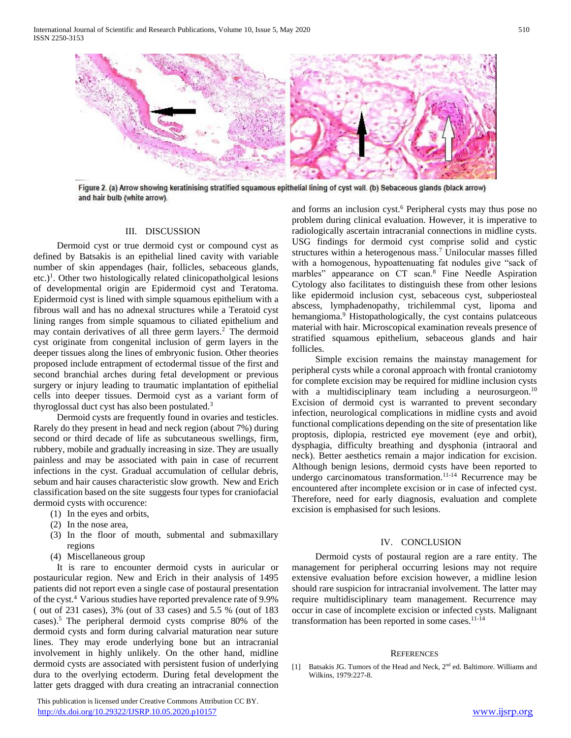International Journal of Scientific and Research Publications, Volume 10, Issue 5, May 2020 ISSN 2250-3153



Figure 2. (a) Arrow showing keratinising stratified squamous epithelial lining of cyst wall. (b) Sebaceous glands (black arrow) and hair bulb (white arrow).

#### III. DISCUSSION

 Dermoid cyst or true dermoid cyst or compound cyst as defined by Batsakis is an epithelial lined cavity with variable number of skin appendages (hair, follicles, sebaceous glands,  $etc.$ <sup>1</sup>. Other two histologically related clinicopatholgical lesions of developmental origin are Epidermoid cyst and Teratoma. Epidermoid cyst is lined with simple squamous epithelium with a fibrous wall and has no adnexal structures while a Teratoid cyst lining ranges from simple squamous to ciliated epithelium and may contain derivatives of all three germ layers.<sup>2</sup> The dermoid cyst originate from congenital inclusion of germ layers in the deeper tissues along the lines of embryonic fusion. Other theories proposed include entrapment of ectodermal tissue of the first and second branchial arches during fetal development or previous surgery or injury leading to traumatic implantation of epithelial cells into deeper tissues. Dermoid cyst as a variant form of thyroglossal duct cyst has also been postulated.<sup>3</sup>

 Dermoid cysts are frequently found in ovaries and testicles. Rarely do they present in head and neck region (about 7%) during second or third decade of life as subcutaneous swellings, firm, rubbery, mobile and gradually increasing in size. They are usually painless and may be associated with pain in case of recurrent infections in the cyst. Gradual accumulation of cellular debris, sebum and hair causes characteristic slow growth. New and Erich classification based on the site suggests four types for craniofacial dermoid cysts with occurence:

- (1) In the eyes and orbits,
- (2) In the nose area,
- (3) In the floor of mouth, submental and submaxillary regions
- (4) Miscellaneous group

 It is rare to encounter dermoid cysts in auricular or postauricular region. New and Erich in their analysis of 1495 patients did not report even a single case of postaural presentation of the cyst.<sup>4</sup> Various studies have reported prevalence rate of 9.9% ( out of 231 cases), 3% (out of 33 cases) and 5.5 % (out of 183 cases).<sup>5</sup>The peripheral dermoid cysts comprise 80% of the dermoid cysts and form during calvarial maturation near suture lines. They may erode underlying bone but an intracranial involvement in highly unlikely. On the other hand, midline dermoid cysts are associated with persistent fusion of underlying dura to the overlying ectoderm. During fetal development the latter gets dragged with dura creating an intracranial connection

 This publication is licensed under Creative Commons Attribution CC BY. <http://dx.doi.org/10.29322/IJSRP.10.05.2020.p10157> [www.ijsrp.org](http://ijsrp.org/)

and forms an inclusion cyst.<sup>6</sup> Peripheral cysts may thus pose no problem during clinical evaluation. However, it is imperative to radiologically ascertain intracranial connections in midline cysts. USG findings for dermoid cyst comprise solid and cystic structures within a heterogenous mass.<sup>7</sup> Unilocular masses filled with a homogenous, hypoattenuating fat nodules give "sack of marbles" appearance on CT scan.<sup>8</sup> Fine Needle Aspiration Cytology also facilitates to distinguish these from other lesions like epidermoid inclusion cyst, sebaceous cyst, subperiosteal abscess, lymphadenopathy, trichilemmal cyst, lipoma and hemangioma.<sup>9</sup> Histopathologically, the cyst contains pulate equals material with hair. Microscopical examination reveals presence of stratified squamous epithelium, sebaceous glands and hair follicles.

 Simple excision remains the mainstay management for peripheral cysts while a coronal approach with frontal craniotomy for complete excision may be required for midline inclusion cysts with a multidisciplinary team including a neurosurgeon.<sup>10</sup> Excision of dermoid cyst is warranted to prevent secondary infection, neurological complications in midline cysts and avoid functional complications depending on the site of presentation like proptosis, diplopia, restricted eye movement (eye and orbit), dysphagia, difficulty breathing and dysphonia (intraoral and neck). Better aesthetics remain a major indication for excision. Although benign lesions, dermoid cysts have been reported to undergo carcinomatous transformation.<sup>11-14</sup> Recurrence may be encountered after incomplete excision or in case of infected cyst. Therefore, need for early diagnosis, evaluation and complete excision is emphasised for such lesions.

#### IV. CONCLUSION

 Dermoid cysts of postaural region are a rare entity. The management for peripheral occurring lesions may not require extensive evaluation before excision however, a midline lesion should rare suspicion for intracranial involvement. The latter may require multidisciplinary team management. Recurrence may occur in case of incomplete excision or infected cysts. Malignant transformation has been reported in some cases. $11-14$ 

#### **REFERENCES**

[1] Batsakis JG. Tumors of the Head and Neck, 2<sup>nd</sup> ed. Baltimore. Williams and Wilkins, 1979-227-8.